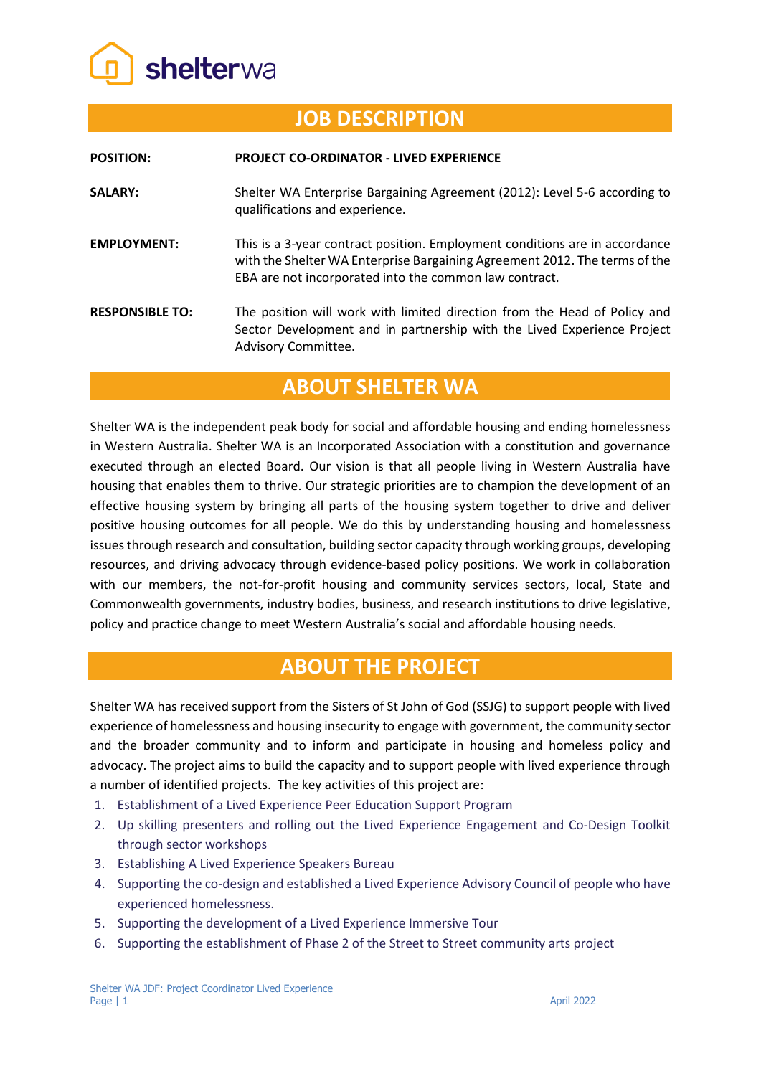

# **JOB DESCRIPTION**

| <b>POSITION:</b>       | <b>PROJECT CO-ORDINATOR - LIVED EXPERIENCE</b>                                                                                                                                                                      |
|------------------------|---------------------------------------------------------------------------------------------------------------------------------------------------------------------------------------------------------------------|
| <b>SALARY:</b>         | Shelter WA Enterprise Bargaining Agreement (2012): Level 5-6 according to<br>qualifications and experience.                                                                                                         |
| <b>EMPLOYMENT:</b>     | This is a 3-year contract position. Employment conditions are in accordance<br>with the Shelter WA Enterprise Bargaining Agreement 2012. The terms of the<br>EBA are not incorporated into the common law contract. |
| <b>RESPONSIBLE TO:</b> | The position will work with limited direction from the Head of Policy and<br>Sector Development and in partnership with the Lived Experience Project<br>Advisory Committee.                                         |

## **ABOUT SHELTER WA**

Shelter WA is the independent peak body for social and affordable housing and ending homelessness in Western Australia. Shelter WA is an Incorporated Association with a constitution and governance executed through an elected Board. Our vision is that all people living in Western Australia have housing that enables them to thrive. Our strategic priorities are to champion the development of an effective housing system by bringing all parts of the housing system together to drive and deliver positive housing outcomes for all people. We do this by understanding housing and homelessness issues through research and consultation, building sector capacity through working groups, developing resources, and driving advocacy through evidence-based policy positions. We work in collaboration with our members, the not-for-profit housing and community services sectors, local, State and Commonwealth governments, industry bodies, business, and research institutions to drive legislative, policy and practice change to meet Western Australia's social and affordable housing needs.

### **ABOUT THE PROJECT**

Shelter WA has received support from the Sisters of St John of God (SSJG) to support people with lived experience of homelessness and housing insecurity to engage with government, the community sector and the broader community and to inform and participate in housing and homeless policy and advocacy. The project aims to build the capacity and to support people with lived experience through a number of identified projects. The key activities of this project are:

- 1. Establishment of a Lived Experience Peer Education Support Program
- 2. Up skilling presenters and rolling out the Lived Experience Engagement and Co-Design Toolkit through sector workshops
- 3. Establishing A Lived Experience Speakers Bureau
- 4. Supporting the co-design and established a Lived Experience Advisory Council of people who have experienced homelessness.
- 5. Supporting the development of a Lived Experience Immersive Tour
- 6. Supporting the establishment of Phase 2 of the Street to Street community arts project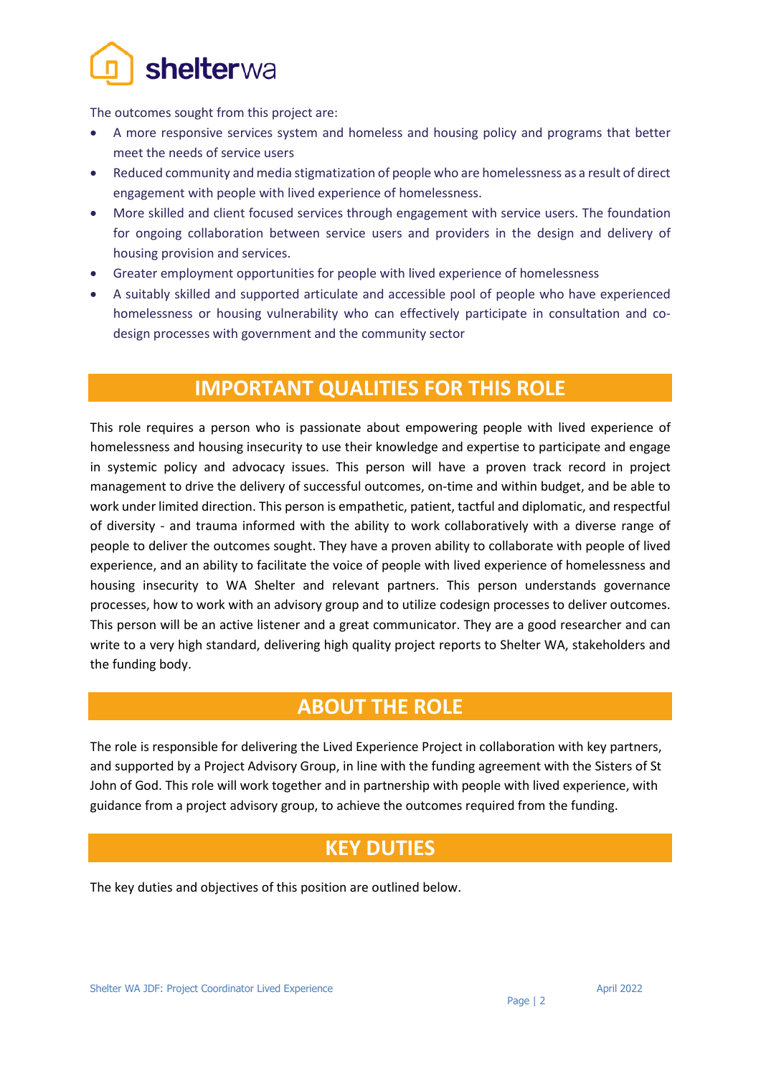

The outcomes sought from this project are:

- A more responsive services system and homeless and housing policy and programs that better meet the needs of service users
- Reduced community and media stigmatization of people who are homelessness as a result of direct engagement with people with lived experience of homelessness.
- More skilled and client focused services through engagement with service users. The foundation for ongoing collaboration between service users and providers in the design and delivery of housing provision and services.
- Greater employment opportunities for people with lived experience of homelessness
- A suitably skilled and supported articulate and accessible pool of people who have experienced homelessness or housing vulnerability who can effectively participate in consultation and codesign processes with government and the community sector

## **IMPORTANT QUALITIES FOR THIS ROLE**

This role requires a person who is passionate about empowering people with lived experience of homelessness and housing insecurity to use their knowledge and expertise to participate and engage in systemic policy and advocacy issues. This person will have a proven track record in project management to drive the delivery of successful outcomes, on-time and within budget, and be able to work under limited direction. This person is empathetic, patient, tactful and diplomatic, and respectful of diversity - and trauma informed with the ability to work collaboratively with a diverse range of people to deliver the outcomes sought. They have a proven ability to collaborate with people of lived experience, and an ability to facilitate the voice of people with lived experience of homelessness and housing insecurity to WA Shelter and relevant partners. This person understands governance processes, how to work with an advisory group and to utilize codesign processes to deliver outcomes. This person will be an active listener and a great communicator. They are a good researcher and can write to a very high standard, delivering high quality project reports to Shelter WA, stakeholders and the funding body.

### **ABOUT THE ROLE**

The role is responsible for delivering the Lived Experience Project in collaboration with key partners, and supported by a Project Advisory Group, in line with the funding agreement with the Sisters of St John of God. This role will work together and in partnership with people with lived experience, with guidance from a project advisory group, to achieve the outcomes required from the funding.

### **KEY DUTIES**

The key duties and objectives of this position are outlined below.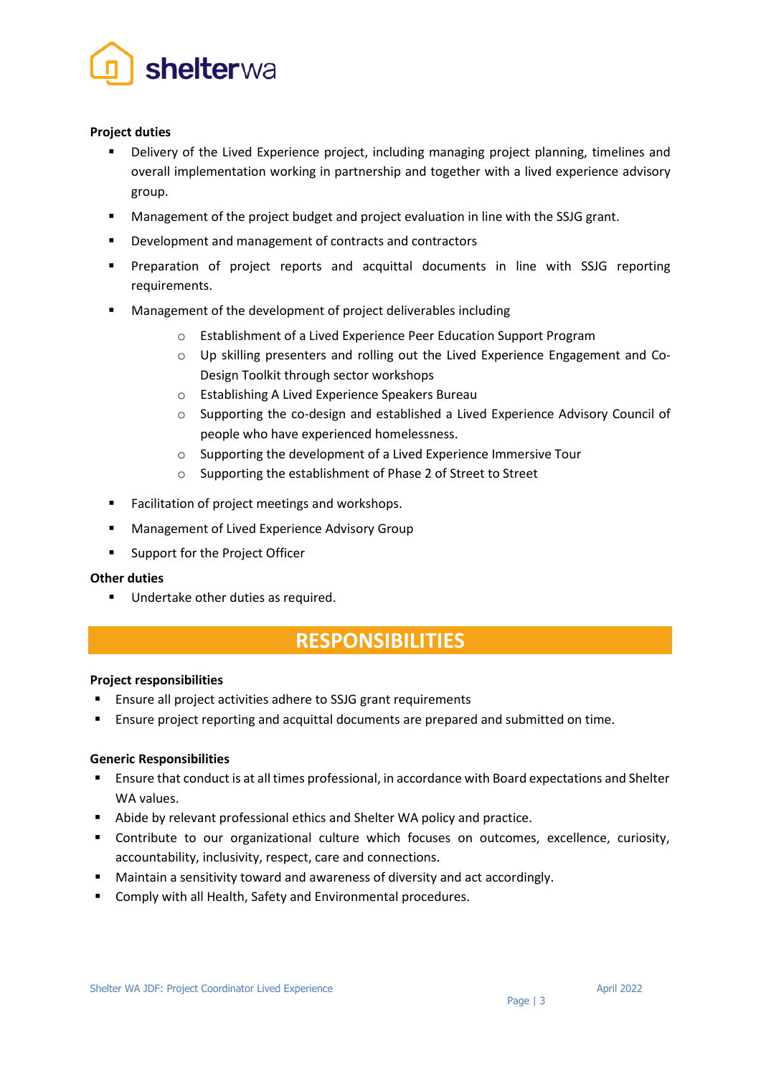

### **Project duties**

- Delivery of the Lived Experience project, including managing project planning, timelines and overall implementation working in partnership and together with a lived experience advisory group.
- Management of the project budget and project evaluation in line with the SSJG grant.
- Development and management of contracts and contractors
- Preparation of project reports and acquittal documents in line with SSJG reporting requirements.
- Management of the development of project deliverables including
	- o Establishment of a Lived Experience Peer Education Support Program
	- o Up skilling presenters and rolling out the Lived Experience Engagement and Co-Design Toolkit through sector workshops
	- o Establishing A Lived Experience Speakers Bureau
	- $\circ$  Supporting the co-design and established a Lived Experience Advisory Council of people who have experienced homelessness.
	- o Supporting the development of a Lived Experience Immersive Tour
	- o Supporting the establishment of Phase 2 of Street to Street
- **Facilitation of project meetings and workshops.**
- **Management of Lived Experience Advisory Group**
- Support for the Project Officer

#### **Other duties**

**Undertake other duties as required.** 

## **RESPONSIBILITIES**

#### **Project responsibilities**

- Ensure all project activities adhere to SSJG grant requirements
- Ensure project reporting and acquittal documents are prepared and submitted on time.

#### **Generic Responsibilities**

- Ensure that conduct is at all times professional, in accordance with Board expectations and Shelter WA values.
- Abide by relevant professional ethics and Shelter WA policy and practice.
- Contribute to our organizational culture which focuses on outcomes, excellence, curiosity, accountability, inclusivity, respect, care and connections.
- **EXTENDITION Maintain a sensitivity toward and awareness of diversity and act accordingly.**
- **E** Comply with all Health, Safety and Environmental procedures.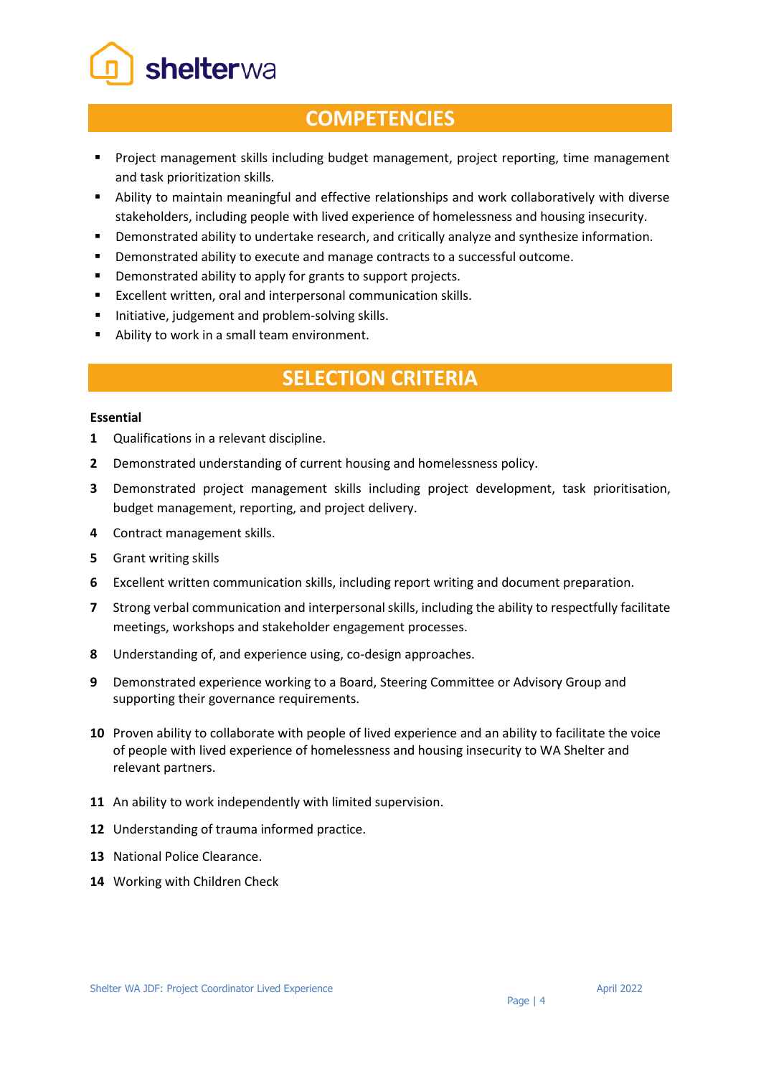shelterwa

## **COMPETENCIES**

- Project management skills including budget management, project reporting, time management and task prioritization skills.
- Ability to maintain meaningful and effective relationships and work collaboratively with diverse stakeholders, including people with lived experience of homelessness and housing insecurity.
- Demonstrated ability to undertake research, and critically analyze and synthesize information.
- **•** Demonstrated ability to execute and manage contracts to a successful outcome.
- **•** Demonstrated ability to apply for grants to support projects.
- Excellent written, oral and interpersonal communication skills.
- **Initiative, judgement and problem-solving skills.**
- Ability to work in a small team environment.

# **SELECTION CRITERIA**

#### **Essential**

- **1** Qualifications in a relevant discipline.
- **2** Demonstrated understanding of current housing and homelessness policy.
- **3** Demonstrated project management skills including project development, task prioritisation, budget management, reporting, and project delivery.
- **4** Contract management skills.
- **5** Grant writing skills
- **6** Excellent written communication skills, including report writing and document preparation.
- **7** Strong verbal communication and interpersonal skills, including the ability to respectfully facilitate meetings, workshops and stakeholder engagement processes.
- **8** Understanding of, and experience using, co-design approaches.
- **9** Demonstrated experience working to a Board, Steering Committee or Advisory Group and supporting their governance requirements.
- **10** Proven ability to collaborate with people of lived experience and an ability to facilitate the voice of people with lived experience of homelessness and housing insecurity to WA Shelter and relevant partners.
- **11** An ability to work independently with limited supervision.
- **12** Understanding of trauma informed practice.
- **13** National Police Clearance.
- **14** Working with Children Check